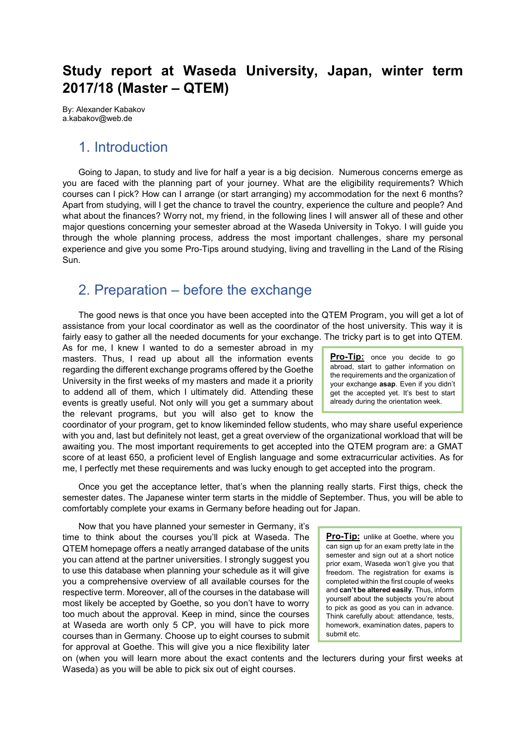## **Study report at Waseda University, Japan, winter term 2017/18 (Master ± QTEM)**

By: Alexander Kabakov a.kabakov@web.de

### 1. Introduction

Going to Japan, to study and live for half a year is a big decision. Numerous concerns emerge as you are faced with the planning part of your journey. What are the eligibility requirements? Which courses can I pick? How can I arrange (or start arranging) my accommodation for the next 6 months? Apart from studying, will I get the chance to travel the country, experience the culture and people? And what about the finances? Worry not, my friend, in the following lines I will answer all of these and other major questions concerning your semester abroad at the Waseda University in Tokyo. I will guide you through the whole planning process, address the most important challenges, share my personal experience and give you some Pro-Tips around studying, living and travelling in the Land of the Rising Sun.

### 2. Preparation  $-$  before the exchange

The good news is that once you have been accepted into the QTEM Program, you will get a lot of assistance from your local coordinator as well as the coordinator of the host university. This way it is fairly easy to gather all the needed documents for your exchange. The tricky part is to get into QTEM.

As for me, I knew I wanted to do a semester abroad in my masters. Thus, I read up about all the information events regarding the different exchange programs offered by the Goethe University in the first weeks of my masters and made it a priority to addend all of them, which I ultimately did. Attending these events is greatly useful. Not only will you get a summary about the relevant programs, but you will also get to know the

**Pro-Tip:** once you decide to go abroad, start to gather information on the requirements and the organization of your exchange **asap**. Even if you didn't get the accepted yet. It's best to start already during the orientation week.

coordinator of your program, get to know likeminded fellow students, who may share useful experience with you and, last but definitely not least, get a great overview of the organizational workload that will be awaiting you. The most important requirements to get accepted into the QTEM program are: a GMAT score of at least 650, a proficient level of English language and some extracurricular activities. As for me, I perfectly met these requirements and was lucky enough to get accepted into the program.

Once you get the acceptance letter, that's when the planning really starts. First thigs, check the semester dates. The Japanese winter term starts in the middle of September. Thus, you will be able to comfortably complete your exams in Germany before heading out for Japan.

Now that you have planned your semester in Germany, it's time to think about the courses you'll pick at Waseda. The QTEM homepage offers a neatly arranged database of the units you can attend at the partner universities. I strongly suggest you to use this database when planning your schedule as it will give you a comprehensive overview of all available courses for the respective term. Moreover, all of the courses in the database will most likely be accepted by Goethe, so you don't have to worry too much about the approval. Keep in mind, since the courses at Waseda are worth only 5 CP, you will have to pick more courses than in Germany. Choose up to eight courses to submit for approval at Goethe. This will give you a nice flexibility later

**Pro-Tip:** unlike at Goethe, where you can sign up for an exam pretty late in the semester and sign out at a short notice prior exam, Waseda won't give you that freedom. The registration for exams is completed within the first couple of weeks and **can't be altered easily**. Thus, inform yourself about the subjects you're about to pick as good as you can in advance. Think carefully about: attendance, tests, homework, examination dates, papers to submit etc.

on (when you will learn more about the exact contents and the lecturers during your first weeks at Waseda) as you will be able to pick six out of eight courses.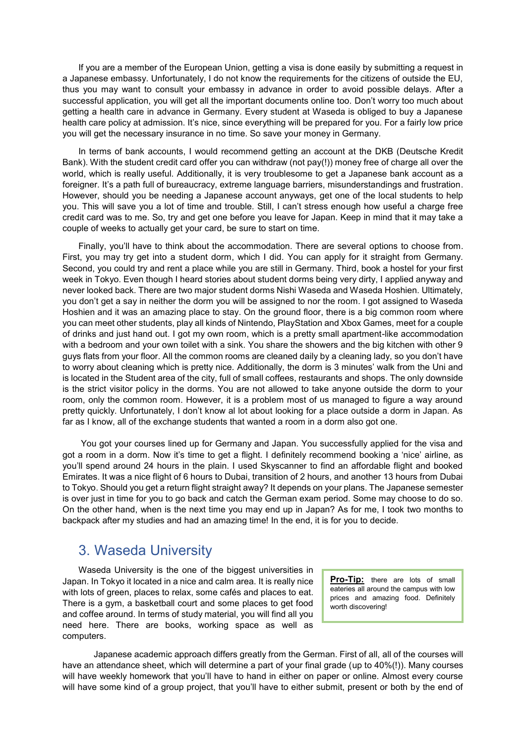If you are a member of the European Union, getting a visa is done easily by submitting a request in a Japanese embassy. Unfortunately, I do not know the requirements for the citizens of outside the EU, thus you may want to consult your embassy in advance in order to avoid possible delays. After a successful application, you will get all the important documents online too. Don't worry too much about getting a health care in advance in Germany. Every student at Waseda is obliged to buy a Japanese health care policy at admission. It's nice, since everything will be prepared for you. For a fairly low price you will get the necessary insurance in no time. So save your money in Germany.

In terms of bank accounts, I would recommend getting an account at the DKB (Deutsche Kredit Bank). With the student credit card offer you can withdraw (not pay(!)) money free of charge all over the world, which is really useful. Additionally, it is very troublesome to get a Japanese bank account as a foreigner. It's a path full of bureaucracy, extreme language barriers, misunderstandings and frustration. However, should you be needing a Japanese account anyways, get one of the local students to help you. This will save you a lot of time and trouble. Still, I can't stress enough how useful a charge free credit card was to me. So, try and get one before you leave for Japan. Keep in mind that it may take a couple of weeks to actually get your card, be sure to start on time.

Finally, you'll have to think about the accommodation. There are several options to choose from. First, you may try get into a student dorm, which I did. You can apply for it straight from Germany. Second, you could try and rent a place while you are still in Germany. Third, book a hostel for your first week in Tokyo. Even though I heard stories about student dorms being very dirty, I applied anyway and never looked back. There are two major student dorms Nishi Waseda and Waseda Hoshien. Ultimately, you don't get a say in neither the dorm you will be assigned to nor the room. I got assigned to Waseda Hoshien and it was an amazing place to stay. On the ground floor, there is a big common room where you can meet other students, play all kinds of Nintendo, PlayStation and Xbox Games, meet for a couple of drinks and just hand out. I got my own room, which is a pretty small apartment-like accommodation with a bedroom and your own toilet with a sink. You share the showers and the big kitchen with other 9 guys flats from your floor. All the common rooms are cleaned daily by a cleaning lady, so you don't have to worry about cleaning which is pretty nice. Additionally, the dorm is 3 minutes' walk from the Uni and is located in the Student area of the city, full of small coffees, restaurants and shops. The only downside is the strict visitor policy in the dorms. You are not allowed to take anyone outside the dorm to your room, only the common room. However, it is a problem most of us managed to figure a way around pretty quickly. Unfortunately, I don't know al lot about looking for a place outside a dorm in Japan. As far as I know, all of the exchange students that wanted a room in a dorm also got one.

You got your courses lined up for Germany and Japan. You successfully applied for the visa and got a room in a dorm. Now it's time to get a flight. I definitely recommend booking a 'nice' airline, as you'll spend around 24 hours in the plain. I used Skyscanner to find an affordable flight and booked Emirates. It was a nice flight of 6 hours to Dubai, transition of 2 hours, and another 13 hours from Dubai to Tokyo. Should you get a return flight straight away? It depends on your plans. The Japanese semester is over just in time for you to go back and catch the German exam period. Some may choose to do so. On the other hand, when is the next time you may end up in Japan? As for me, I took two months to backpack after my studies and had an amazing time! In the end, it is for you to decide.

#### 3. Waseda University

Waseda University is the one of the biggest universities in Japan. In Tokyo it located in a nice and calm area. It is really nice with lots of green, places to relax, some cafés and places to eat. There is a gym, a basketball court and some places to get food and coffee around. In terms of study material, you will find all you need here. There are books, working space as well as computers.

**Pro-Tip:** there are lots of small eateries all around the campus with low prices and amazing food. Definitely worth discovering!

Japanese academic approach differs greatly from the German. First of all, all of the courses will have an attendance sheet, which will determine a part of your final grade (up to 40%(!)). Many courses will have weekly homework that you'll have to hand in either on paper or online. Almost every course will have some kind of a group project, that you'll have to either submit, present or both by the end of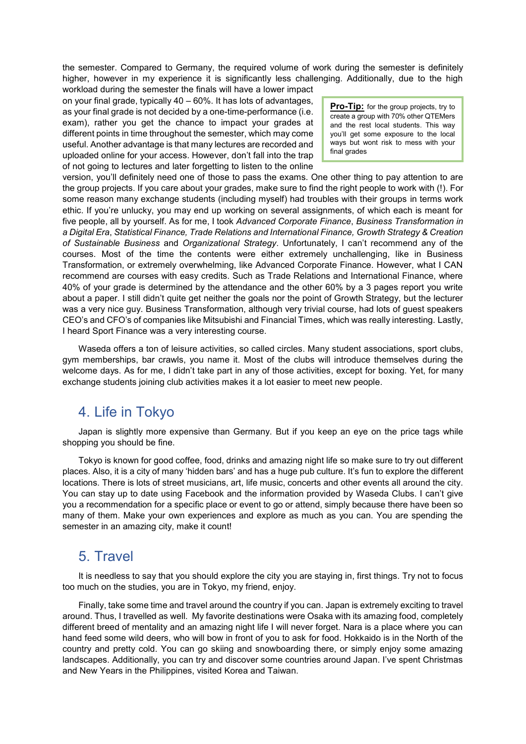the semester. Compared to Germany, the required volume of work during the semester is definitely higher, however in my experience it is significantly less challenging. Additionally, due to the high

workload during the semester the finals will have a lower impact on your final grade, typically  $40 - 60\%$ . It has lots of advantages, as your final grade is not decided by a one-time-performance (i.e. exam), rather you get the chance to impact your grades at different points in time throughout the semester, which may come useful. Another advantage is that many lectures are recorded and uploaded online for your access. However, don't fall into the trap of not going to lectures and later forgetting to listen to the online

**Pro-Tip:** for the group projects, try to create a group with 70% other QTEMers and the rest local students. This way you'll get some exposure to the local ways but wont risk to mess with your final grades

version, you'll definitely need one of those to pass the exams. One other thing to pay attention to are the group projects. If you care about your grades, make sure to find the right people to work with (!). For some reason many exchange students (including myself) had troubles with their groups in terms work ethic. If you're unlucky, you may end up working on several assignments, of which each is meant for five people, all by yourself. As for me, I took *Advanced Corporate Finance*, *Business Transformation in a Digital Era*, *Statistical Finance, Trade Relations and International Finance, Growth Strategy & Creation of Sustainable Business* and *Organizational Strategy*. Unfortunately, I can't recommend any of the courses. Most of the time the contents were either extremely unchallenging, like in Business Transformation, or extremely overwhelming, like Advanced Corporate Finance. However, what I CAN recommend are courses with easy credits. Such as Trade Relations and International Finance, where 40% of your grade is determined by the attendance and the other 60% by a 3 pages report you write about a paper. I still didn't quite get neither the goals nor the point of Growth Strategy, but the lecturer was a very nice guy. Business Transformation, although very trivial course, had lots of guest speakers CEO's and CFO's of companies like Mitsubishi and Financial Times, which was really interesting. Lastly, I heard Sport Finance was a very interesting course.

Waseda offers a ton of leisure activities, so called circles. Many student associations, sport clubs, gym memberships, bar crawls, you name it. Most of the clubs will introduce themselves during the welcome days. As for me, I didn't take part in any of those activities, except for boxing. Yet, for many exchange students joining club activities makes it a lot easier to meet new people.

# 4. Life in Tokyo

Japan is slightly more expensive than Germany. But if you keep an eye on the price tags while shopping you should be fine.

Tokyo is known for good coffee, food, drinks and amazing night life so make sure to try out different places. Also, it is a city of many 'hidden bars' and has a huge pub culture. It's fun to explore the different locations. There is lots of street musicians, art, life music, concerts and other events all around the city. You can stay up to date using Facebook and the information provided by Waseda Clubs. I can't give you a recommendation for a specific place or event to go or attend, simply because there have been so many of them. Make your own experiences and explore as much as you can. You are spending the semester in an amazing city, make it count!

#### 5. Travel

It is needless to say that you should explore the city you are staying in, first things. Try not to focus too much on the studies, you are in Tokyo, my friend, enjoy.

Finally, take some time and travel around the country if you can. Japan is extremely exciting to travel around. Thus, I travelled as well. My favorite destinations were Osaka with its amazing food, completely different breed of mentality and an amazing night life I will never forget. Nara is a place where you can hand feed some wild deers, who will bow in front of you to ask for food. Hokkaido is in the North of the country and pretty cold. You can go skiing and snowboarding there, or simply enjoy some amazing landscapes. Additionally, you can try and discover some countries around Japan. I've spent Christmas and New Years in the Philippines, visited Korea and Taiwan.